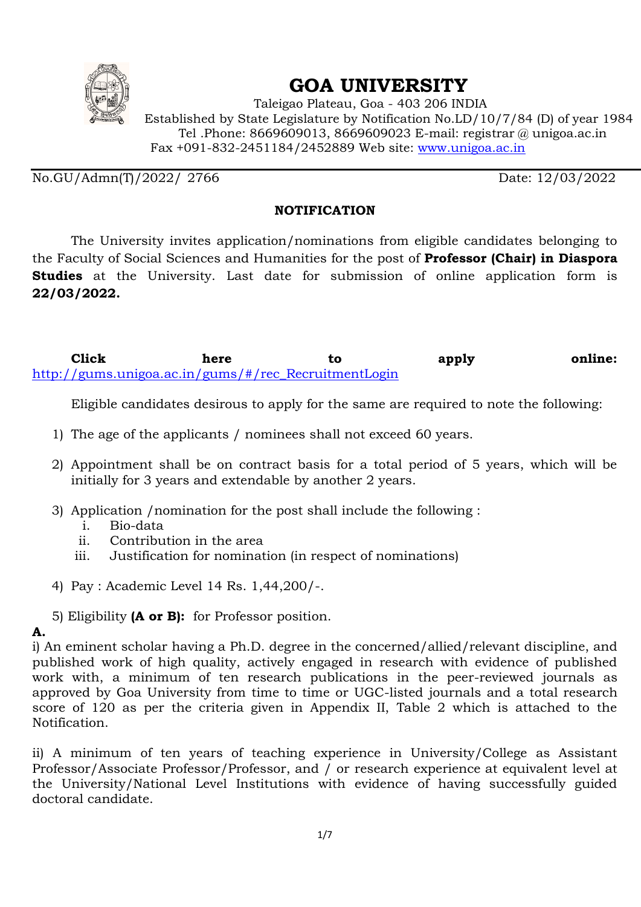

# **GOA UNIVERSITY**

 Taleigao Plateau, Goa - 403 206 INDIA Established by State Legislature by Notification No.LD/10/7/84 (D) of year 1984 Tel .Phone: 8669609013, 8669609023 E-mail: registrar @ unigoa.ac.in Fax +091-832-2451184/2452889 Web site: www.unigoa.ac.in

No.GU/Admn(T)/2022/ 2766 Date: 12/03/2022

### **NOTIFICATION**

The University invites application/nominations from eligible candidates belonging to the Faculty of Social Sciences and Humanities for the post of **Professor (Chair) in Diaspora Studies** at the University. Last date for submission of online application form is **22/03/2022.**

**Click here** to apply **online:** http://gums.unigoa.ac.in/gums/#/rec\_RecruitmentLogin

Eligible candidates desirous to apply for the same are required to note the following:

- 1) The age of the applicants / nominees shall not exceed 60 years.
- 2) Appointment shall be on contract basis for a total period of 5 years, which will be initially for 3 years and extendable by another 2 years.
- 3) Application /nomination for the post shall include the following :
	- i. Bio-data
	- ii. Contribution in the area
	- iii. Justification for nomination (in respect of nominations)
- 4) Pay : Academic Level 14 Rs. 1,44,200/-.
- 5) Eligibility **(A or B):** for Professor position.

# **A.**

i) An eminent scholar having a Ph.D. degree in the concerned/allied/relevant discipline, and published work of high quality, actively engaged in research with evidence of published work with, a minimum of ten research publications in the peer-reviewed journals as approved by Goa University from time to time or UGC-listed journals and a total research score of 120 as per the criteria given in Appendix II, Table 2 which is attached to the Notification.

ii) A minimum of ten years of teaching experience in University/College as Assistant Professor/Associate Professor/Professor, and / or research experience at equivalent level at the University/National Level Institutions with evidence of having successfully guided doctoral candidate.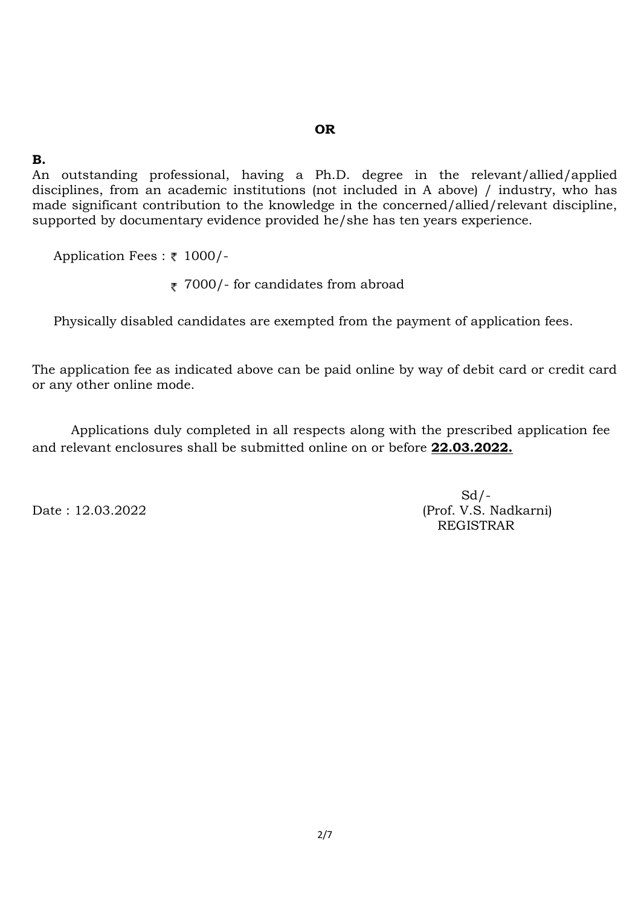#### **OR**

### **B.**

An outstanding professional, having a Ph.D. degree in the relevant/allied/applied disciplines, from an academic institutions (not included in A above) / industry, who has made significant contribution to the knowledge in the concerned/allied/relevant discipline, supported by documentary evidence provided he/she has ten years experience.

Application Fees :  $\bar{\tau}$  1000/-

 $\bar{\tau}$  7000/- for candidates from abroad

Physically disabled candidates are exempted from the payment of application fees.

The application fee as indicated above can be paid online by way of debit card or credit card or any other online mode.

Applications duly completed in all respects along with the prescribed application fee and relevant enclosures shall be submitted online on or before **22.03.2022.**

 $Sd$  /-Date : 12.03.2022 (Prof. V.S. Nadkarni) REGISTRAR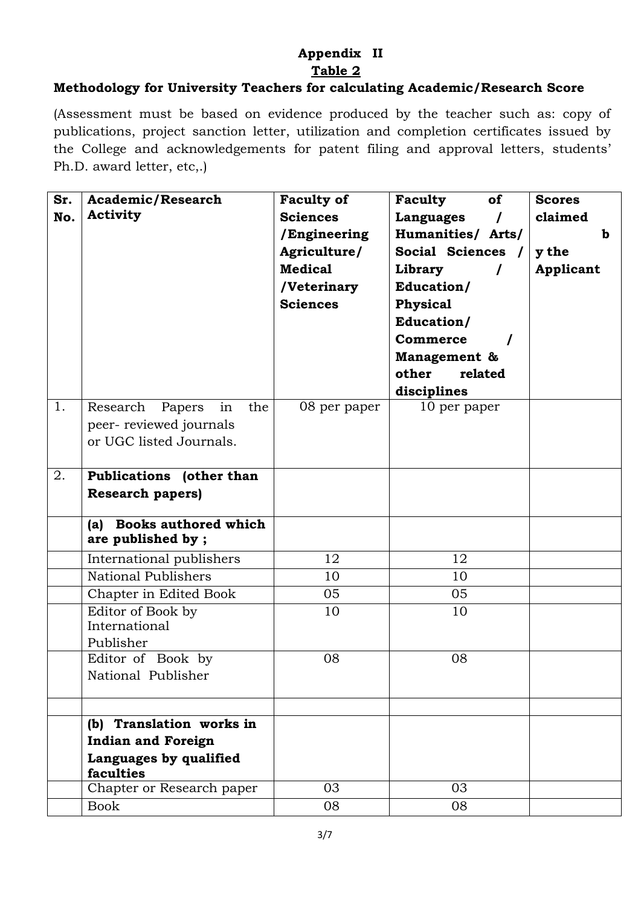# **Appendix II Table 2**

# **Methodology for University Teachers for calculating Academic/Research Score**

(Assessment must be based on evidence produced by the teacher such as: copy of publications, project sanction letter, utilization and completion certificates issued by the College and acknowledgements for patent filing and approval letters, students' Ph.D. award letter, etc,.)

| <b>Activity</b><br><b>Sciences</b><br>No.<br>claimed<br>Languages<br>/Engineering<br>Humanities/ Arts/<br>b<br>Social Sciences /<br>Agriculture/<br>y the<br><b>Medical</b><br>Library<br><b>Applicant</b><br>Education/<br>/Veterinary<br><b>Sciences</b><br>Physical<br>Education/<br><b>Commerce</b><br>Management &<br>other<br>related<br>disciplines<br>1.<br>Research<br>Papers<br>in<br>the<br>08 per paper<br>10 per paper<br>peer-reviewed journals<br>or UGC listed Journals.<br>2.<br>Publications (other than<br><b>Research papers)</b><br><b>Books authored which</b><br>(a)<br>are published by;<br>12<br>International publishers<br>12<br>National Publishers<br>10<br>10<br>Chapter in Edited Book<br>05<br>05<br>Editor of Book by<br>10<br>10<br>International<br>Publisher<br>Editor of Book by<br>08<br>08<br>National Publisher<br>(b) Translation works in | Sr. | <b>Academic/Research</b> | <b>Faculty of</b> | Faculty<br>of | <b>Scores</b> |
|-------------------------------------------------------------------------------------------------------------------------------------------------------------------------------------------------------------------------------------------------------------------------------------------------------------------------------------------------------------------------------------------------------------------------------------------------------------------------------------------------------------------------------------------------------------------------------------------------------------------------------------------------------------------------------------------------------------------------------------------------------------------------------------------------------------------------------------------------------------------------------------|-----|--------------------------|-------------------|---------------|---------------|
|                                                                                                                                                                                                                                                                                                                                                                                                                                                                                                                                                                                                                                                                                                                                                                                                                                                                                     |     |                          |                   |               |               |
|                                                                                                                                                                                                                                                                                                                                                                                                                                                                                                                                                                                                                                                                                                                                                                                                                                                                                     |     |                          |                   |               |               |
|                                                                                                                                                                                                                                                                                                                                                                                                                                                                                                                                                                                                                                                                                                                                                                                                                                                                                     |     |                          |                   |               |               |
|                                                                                                                                                                                                                                                                                                                                                                                                                                                                                                                                                                                                                                                                                                                                                                                                                                                                                     |     |                          |                   |               |               |
|                                                                                                                                                                                                                                                                                                                                                                                                                                                                                                                                                                                                                                                                                                                                                                                                                                                                                     |     |                          |                   |               |               |
|                                                                                                                                                                                                                                                                                                                                                                                                                                                                                                                                                                                                                                                                                                                                                                                                                                                                                     |     |                          |                   |               |               |
|                                                                                                                                                                                                                                                                                                                                                                                                                                                                                                                                                                                                                                                                                                                                                                                                                                                                                     |     |                          |                   |               |               |
|                                                                                                                                                                                                                                                                                                                                                                                                                                                                                                                                                                                                                                                                                                                                                                                                                                                                                     |     |                          |                   |               |               |
|                                                                                                                                                                                                                                                                                                                                                                                                                                                                                                                                                                                                                                                                                                                                                                                                                                                                                     |     |                          |                   |               |               |
|                                                                                                                                                                                                                                                                                                                                                                                                                                                                                                                                                                                                                                                                                                                                                                                                                                                                                     |     |                          |                   |               |               |
|                                                                                                                                                                                                                                                                                                                                                                                                                                                                                                                                                                                                                                                                                                                                                                                                                                                                                     |     |                          |                   |               |               |
|                                                                                                                                                                                                                                                                                                                                                                                                                                                                                                                                                                                                                                                                                                                                                                                                                                                                                     |     |                          |                   |               |               |
|                                                                                                                                                                                                                                                                                                                                                                                                                                                                                                                                                                                                                                                                                                                                                                                                                                                                                     |     |                          |                   |               |               |
|                                                                                                                                                                                                                                                                                                                                                                                                                                                                                                                                                                                                                                                                                                                                                                                                                                                                                     |     |                          |                   |               |               |
|                                                                                                                                                                                                                                                                                                                                                                                                                                                                                                                                                                                                                                                                                                                                                                                                                                                                                     |     |                          |                   |               |               |
|                                                                                                                                                                                                                                                                                                                                                                                                                                                                                                                                                                                                                                                                                                                                                                                                                                                                                     |     |                          |                   |               |               |
|                                                                                                                                                                                                                                                                                                                                                                                                                                                                                                                                                                                                                                                                                                                                                                                                                                                                                     |     |                          |                   |               |               |
|                                                                                                                                                                                                                                                                                                                                                                                                                                                                                                                                                                                                                                                                                                                                                                                                                                                                                     |     |                          |                   |               |               |
|                                                                                                                                                                                                                                                                                                                                                                                                                                                                                                                                                                                                                                                                                                                                                                                                                                                                                     |     |                          |                   |               |               |
|                                                                                                                                                                                                                                                                                                                                                                                                                                                                                                                                                                                                                                                                                                                                                                                                                                                                                     |     |                          |                   |               |               |
|                                                                                                                                                                                                                                                                                                                                                                                                                                                                                                                                                                                                                                                                                                                                                                                                                                                                                     |     |                          |                   |               |               |
|                                                                                                                                                                                                                                                                                                                                                                                                                                                                                                                                                                                                                                                                                                                                                                                                                                                                                     |     |                          |                   |               |               |
|                                                                                                                                                                                                                                                                                                                                                                                                                                                                                                                                                                                                                                                                                                                                                                                                                                                                                     |     |                          |                   |               |               |
|                                                                                                                                                                                                                                                                                                                                                                                                                                                                                                                                                                                                                                                                                                                                                                                                                                                                                     |     |                          |                   |               |               |
|                                                                                                                                                                                                                                                                                                                                                                                                                                                                                                                                                                                                                                                                                                                                                                                                                                                                                     |     |                          |                   |               |               |
|                                                                                                                                                                                                                                                                                                                                                                                                                                                                                                                                                                                                                                                                                                                                                                                                                                                                                     |     |                          |                   |               |               |
|                                                                                                                                                                                                                                                                                                                                                                                                                                                                                                                                                                                                                                                                                                                                                                                                                                                                                     |     |                          |                   |               |               |
|                                                                                                                                                                                                                                                                                                                                                                                                                                                                                                                                                                                                                                                                                                                                                                                                                                                                                     |     |                          |                   |               |               |
|                                                                                                                                                                                                                                                                                                                                                                                                                                                                                                                                                                                                                                                                                                                                                                                                                                                                                     |     |                          |                   |               |               |
|                                                                                                                                                                                                                                                                                                                                                                                                                                                                                                                                                                                                                                                                                                                                                                                                                                                                                     |     |                          |                   |               |               |
| <b>Indian and Foreign</b>                                                                                                                                                                                                                                                                                                                                                                                                                                                                                                                                                                                                                                                                                                                                                                                                                                                           |     |                          |                   |               |               |
| Languages by qualified<br>faculties                                                                                                                                                                                                                                                                                                                                                                                                                                                                                                                                                                                                                                                                                                                                                                                                                                                 |     |                          |                   |               |               |
| Chapter or Research paper<br>03<br>03                                                                                                                                                                                                                                                                                                                                                                                                                                                                                                                                                                                                                                                                                                                                                                                                                                               |     |                          |                   |               |               |
| <b>Book</b><br>08<br>08                                                                                                                                                                                                                                                                                                                                                                                                                                                                                                                                                                                                                                                                                                                                                                                                                                                             |     |                          |                   |               |               |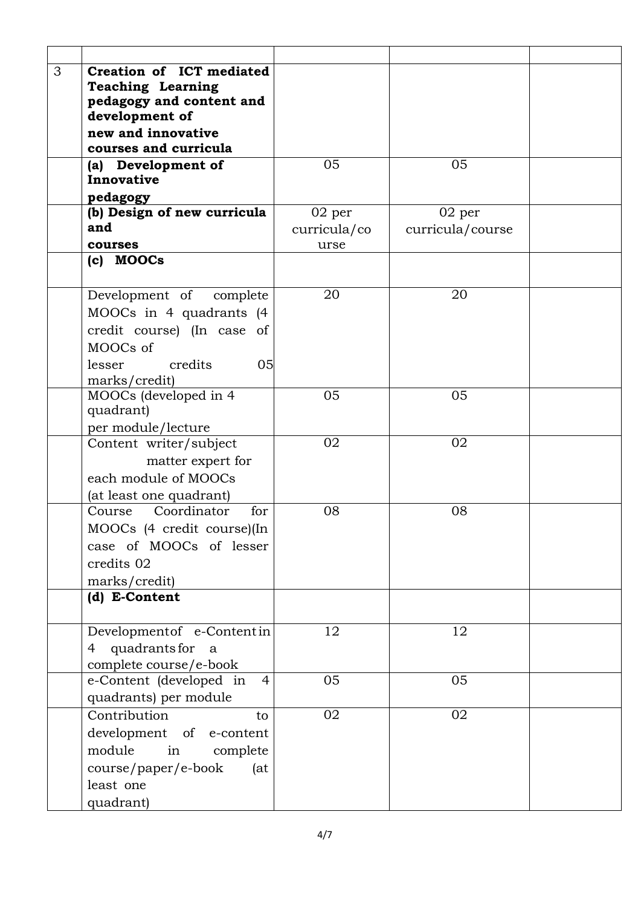| 3<br>Creation of ICT mediated             |              |                  |  |
|-------------------------------------------|--------------|------------------|--|
| <b>Teaching Learning</b>                  |              |                  |  |
| pedagogy and content and                  |              |                  |  |
| development of                            |              |                  |  |
| new and innovative                        |              |                  |  |
| courses and curricula                     |              |                  |  |
| (a) Development of                        | 05           | 05               |  |
| Innovative                                |              |                  |  |
| pedagogy                                  |              |                  |  |
| (b) Design of new curricula               | 02 per       | 02 per           |  |
| and                                       | curricula/co | curricula/course |  |
| courses                                   | urse         |                  |  |
| (c) MOOCs                                 |              |                  |  |
| Development of complete                   | 20           | 20               |  |
| MOOCs in 4 quadrants (4                   |              |                  |  |
| credit course) (In case of                |              |                  |  |
| MOOCs of                                  |              |                  |  |
| credits<br>05<br>lesser                   |              |                  |  |
| marks/credit)                             |              |                  |  |
| MOOCs (developed in 4                     | 05           | 05               |  |
| quadrant)                                 |              |                  |  |
| per module/lecture                        |              |                  |  |
| Content writer/subject                    | 02           | 02               |  |
| matter expert for                         |              |                  |  |
| each module of MOOCs                      |              |                  |  |
| (at least one quadrant)                   |              |                  |  |
| Coordinator<br>for<br>Course              | 08           | 08               |  |
| MOOCs (4 credit course)(In                |              |                  |  |
| case of MOOCs of lesser                   |              |                  |  |
| credits 02                                |              |                  |  |
| marks/credit)                             |              |                  |  |
| (d) E-Content                             |              |                  |  |
|                                           |              |                  |  |
| Development of e-Contentin                | 12           | 12               |  |
| quadrants for<br>4<br>a                   |              |                  |  |
| complete course/e-book                    |              |                  |  |
| e-Content (developed in<br>$\overline{4}$ | 05           | 05               |  |
| quadrants) per module                     |              |                  |  |
| Contribution<br>to                        | 02           | 02               |  |
| development of e-content                  |              |                  |  |
| module<br>in<br>complete                  |              |                  |  |
| course/paper/e-book<br>(at)               |              |                  |  |
| least one                                 |              |                  |  |
| quadrant)                                 |              |                  |  |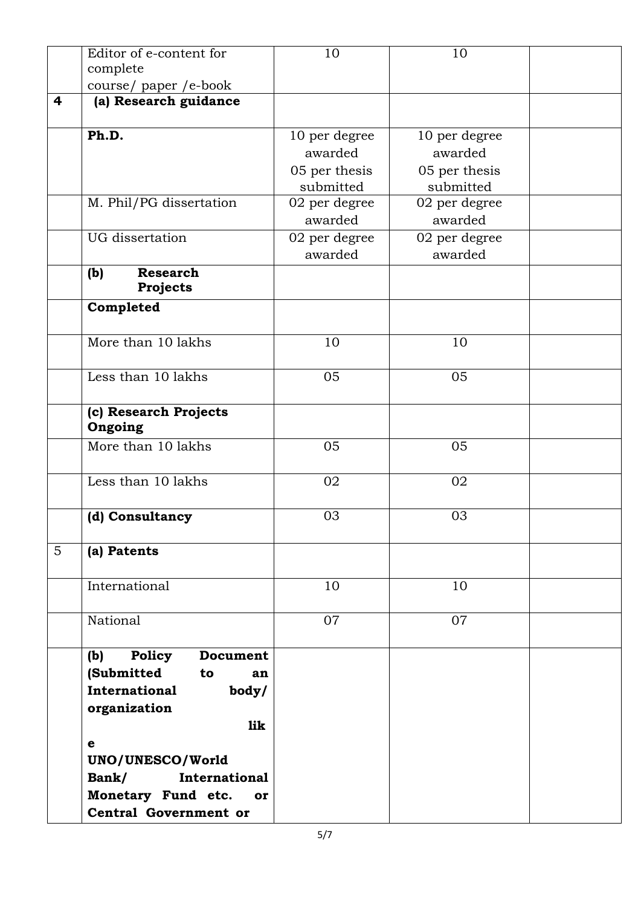|                 | Editor of e-content for      | 10            | 10            |  |
|-----------------|------------------------------|---------------|---------------|--|
|                 | complete                     |               |               |  |
|                 |                              |               |               |  |
| 4               | course/paper/e-book          |               |               |  |
|                 | (a) Research guidance        |               |               |  |
|                 | Ph.D.                        | 10 per degree | 10 per degree |  |
|                 |                              | awarded       | awarded       |  |
|                 |                              | 05 per thesis | 05 per thesis |  |
|                 |                              | submitted     | submitted     |  |
|                 |                              |               |               |  |
|                 | M. Phil/PG dissertation      | 02 per degree | 02 per degree |  |
|                 |                              | awarded       | awarded       |  |
|                 | <b>UG</b> dissertation       | 02 per degree | 02 per degree |  |
|                 |                              | awarded       | awarded       |  |
|                 | <b>Research</b><br>(b)       |               |               |  |
|                 | Projects                     |               |               |  |
|                 | Completed                    |               |               |  |
|                 |                              |               |               |  |
|                 | More than 10 lakhs           | 10            | 10            |  |
|                 |                              |               |               |  |
|                 | Less than 10 lakhs           | 05            | 05            |  |
|                 |                              |               |               |  |
|                 | (c) Research Projects        |               |               |  |
|                 | Ongoing                      |               |               |  |
|                 | More than 10 lakhs           | 05            | 05            |  |
|                 |                              |               |               |  |
|                 | Less than 10 lakhs           | 02            | 02            |  |
|                 |                              | 03            | 03            |  |
|                 | (d) Consultancy              |               |               |  |
| $5\overline{)}$ | (a) Patents                  |               |               |  |
|                 |                              |               |               |  |
|                 | International                | 10            | 10            |  |
|                 |                              |               |               |  |
|                 | National                     | 07            | 07            |  |
|                 |                              |               |               |  |
|                 | Policy<br>Document<br>(b)    |               |               |  |
|                 | (Submitted<br>to<br>an       |               |               |  |
|                 | International                |               |               |  |
|                 | body/                        |               |               |  |
|                 | organization                 |               |               |  |
|                 | lik                          |               |               |  |
|                 | $\mathbf e$                  |               |               |  |
|                 | UNO/UNESCO/World             |               |               |  |
|                 | Bank/<br>International       |               |               |  |
|                 | Monetary Fund etc. or        |               |               |  |
|                 | <b>Central Government or</b> |               |               |  |
|                 |                              |               |               |  |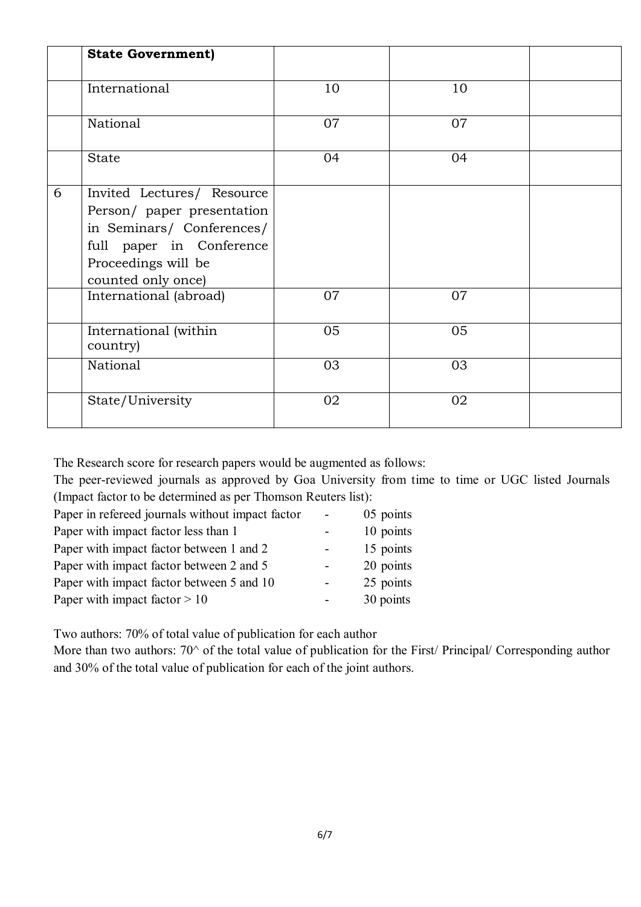|   | <b>State Government)</b>                                                                                                                                       |    |    |  |
|---|----------------------------------------------------------------------------------------------------------------------------------------------------------------|----|----|--|
|   | International                                                                                                                                                  | 10 | 10 |  |
|   | National                                                                                                                                                       | 07 | 07 |  |
|   | <b>State</b>                                                                                                                                                   | 04 | 04 |  |
| 6 | Invited Lectures/ Resource<br>Person/ paper presentation<br>in Seminars/ Conferences/<br>full paper in Conference<br>Proceedings will be<br>counted only once) |    |    |  |
|   | International (abroad)                                                                                                                                         | 07 | 07 |  |
|   | International (within<br>country)                                                                                                                              | 05 | 05 |  |
|   | National                                                                                                                                                       | 03 | 03 |  |
|   | State/University                                                                                                                                               | 02 | 02 |  |

The Research score for research papers would be augmented as follows:

The peer-reviewed journals as approved by Goa University from time to time or UGC listed Journals (Impact factor to be determined as per Thomson Reuters list):

| Paper in refereed journals without impact factor | $\overline{\phantom{0}}$ | 05 points |
|--------------------------------------------------|--------------------------|-----------|
| Paper with impact factor less than 1             |                          | 10 points |
| Paper with impact factor between 1 and 2         |                          | 15 points |
| Paper with impact factor between 2 and 5         |                          | 20 points |
| Paper with impact factor between 5 and 10        | $\blacksquare$           | 25 points |
| Paper with impact factor $> 10$                  |                          | 30 points |

Two authors: 70% of total value of publication for each author

More than two authors: 70^ of the total value of publication for the First/ Principal/ Corresponding author and 30% of the total value of publication for each of the joint authors.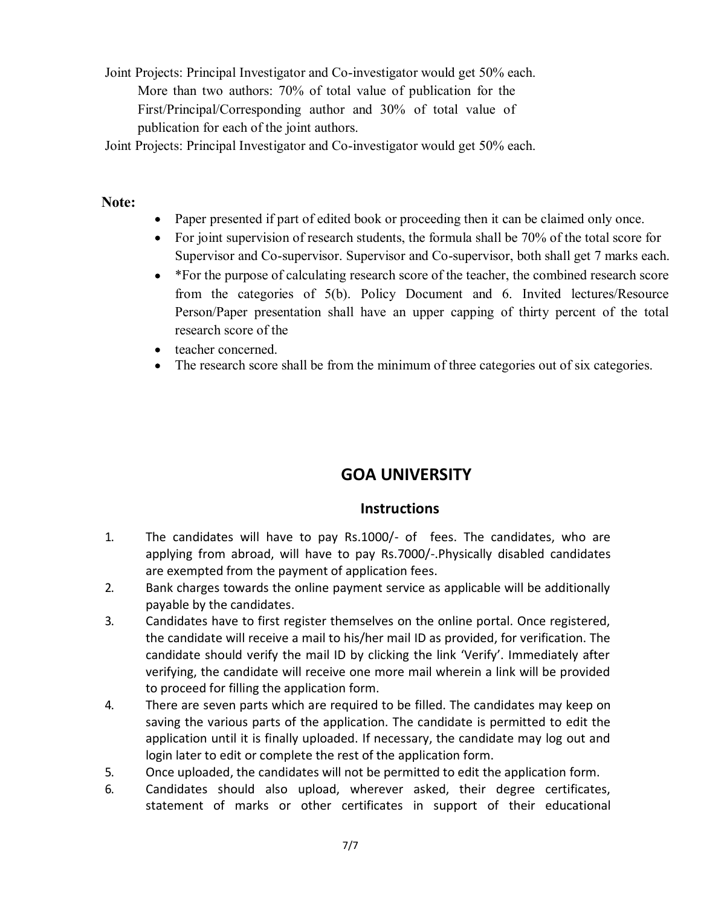- Joint Projects: Principal Investigator and Co-investigator would get 50% each. More than two authors: 70% of total value of publication for the First/Principal/Corresponding author and 30% of total value of publication for each of the joint authors.
- Joint Projects: Principal Investigator and Co-investigator would get 50% each.

# **Note:**

- Paper presented if part of edited book or proceeding then it can be claimed only once.
- For joint supervision of research students, the formula shall be 70% of the total score for Supervisor and Co-supervisor. Supervisor and Co-supervisor, both shall get 7 marks each.
- \*For the purpose of calculating research score of the teacher, the combined research score from the categories of 5(b). Policy Document and 6. Invited lectures/Resource Person/Paper presentation shall have an upper capping of thirty percent of the total research score of the
- teacher concerned.
- The research score shall be from the minimum of three categories out of six categories.

# **GOA UNIVERSITY**

# **Instructions**

- 1. The candidates will have to pay Rs.1000/- of fees. The candidates, who are applying from abroad, will have to pay Rs.7000/-.Physically disabled candidates are exempted from the payment of application fees.
- 2. Bank charges towards the online payment service as applicable will be additionally payable by the candidates.
- 3. Candidates have to first register themselves on the online portal. Once registered, the candidate will receive a mail to his/her mail ID as provided, for verification. The candidate should verify the mail ID by clicking the link 'Verify'. Immediately after verifying, the candidate will receive one more mail wherein a link will be provided to proceed for filling the application form.
- 4. There are seven parts which are required to be filled. The candidates may keep on saving the various parts of the application. The candidate is permitted to edit the application until it is finally uploaded. If necessary, the candidate may log out and login later to edit or complete the rest of the application form.
- 5. Once uploaded, the candidates will not be permitted to edit the application form.
- 6. Candidates should also upload, wherever asked, their degree certificates, statement of marks or other certificates in support of their educational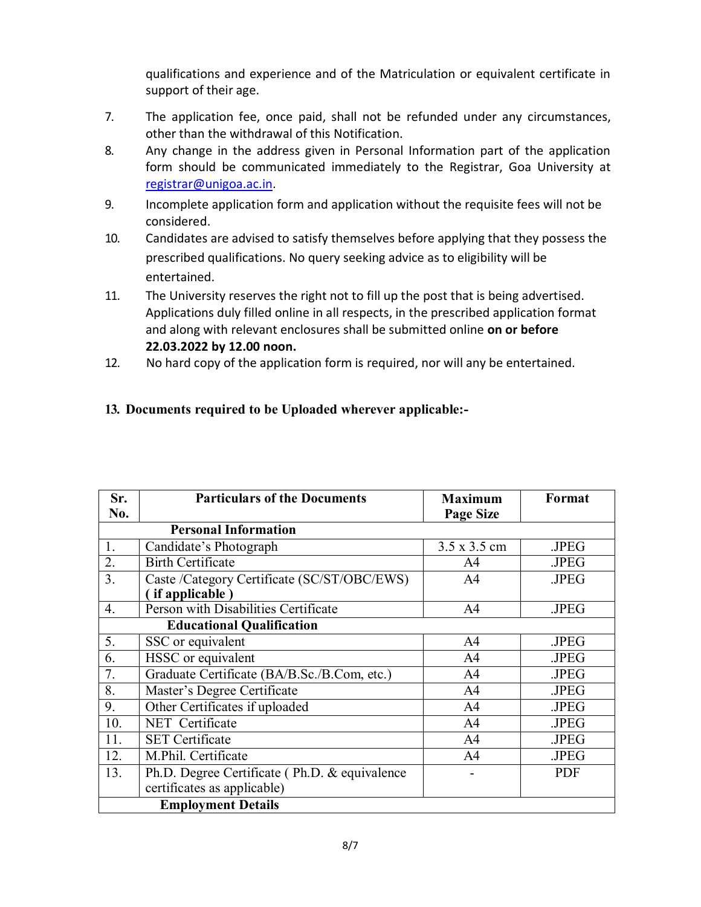qualifications and experience and of the Matriculation or equivalent certificate in support of their age.

- 7. The application fee, once paid, shall not be refunded under any circumstances, other than the withdrawal of this Notification.
- 8. Any change in the address given in Personal Information part of the application form should be communicated immediately to the Registrar, Goa University at registrar@unigoa.ac.in.
- 9. Incomplete application form and application without the requisite fees will not be considered.
- 10. Candidates are advised to satisfy themselves before applying that they possess the prescribed qualifications. No query seeking advice as to eligibility will be entertained.
- 11. The University reserves the right not to fill up the post that is being advertised. Applications duly filled online in all respects, in the prescribed application format and along with relevant enclosures shall be submitted online **on or before 22.03.2022 by 12.00 noon.**
- 12. No hard copy of the application form is required, nor will any be entertained.

#### **13. Documents required to be Uploaded wherever applicable:-**

| Sr.                              | <b>Particulars of the Documents</b>           | <b>Maximum</b>   | Format     |  |
|----------------------------------|-----------------------------------------------|------------------|------------|--|
| No.                              |                                               | <b>Page Size</b> |            |  |
|                                  | <b>Personal Information</b>                   |                  |            |  |
| 1.                               | Candidate's Photograph                        | 3.5 x 3.5 cm     | .JPEG      |  |
| 2.                               | <b>Birth Certificate</b>                      | A4               | .JPEG      |  |
| 3.                               | Caste /Category Certificate (SC/ST/OBC/EWS)   | A <sub>4</sub>   | .JPEG      |  |
|                                  | (if applicable)                               |                  |            |  |
| 4.                               | Person with Disabilities Certificate          | A <sup>4</sup>   | .JPEG      |  |
| <b>Educational Qualification</b> |                                               |                  |            |  |
| 5.                               | SSC or equivalent                             | A4               | .JPEG      |  |
| 6.                               | HSSC or equivalent                            | A <sub>4</sub>   | .JPEG      |  |
| 7.                               | Graduate Certificate (BA/B.Sc./B.Com, etc.)   | A4               | .JPEG      |  |
| 8.                               | Master's Degree Certificate                   | A <sub>4</sub>   | .JPEG      |  |
| 9.                               | Other Certificates if uploaded                | A <sub>4</sub>   | .JPEG      |  |
| 10.                              | NET Certificate                               | A <sup>4</sup>   | .JPEG      |  |
| 11.                              | <b>SET Certificate</b>                        | A <sub>4</sub>   | .JPEG      |  |
| 12.                              | M.Phil. Certificate                           | A <sub>4</sub>   | .JPEG      |  |
| 13.                              | Ph.D. Degree Certificate (Ph.D. & equivalence |                  | <b>PDF</b> |  |
|                                  | certificates as applicable)                   |                  |            |  |
| <b>Employment Details</b>        |                                               |                  |            |  |